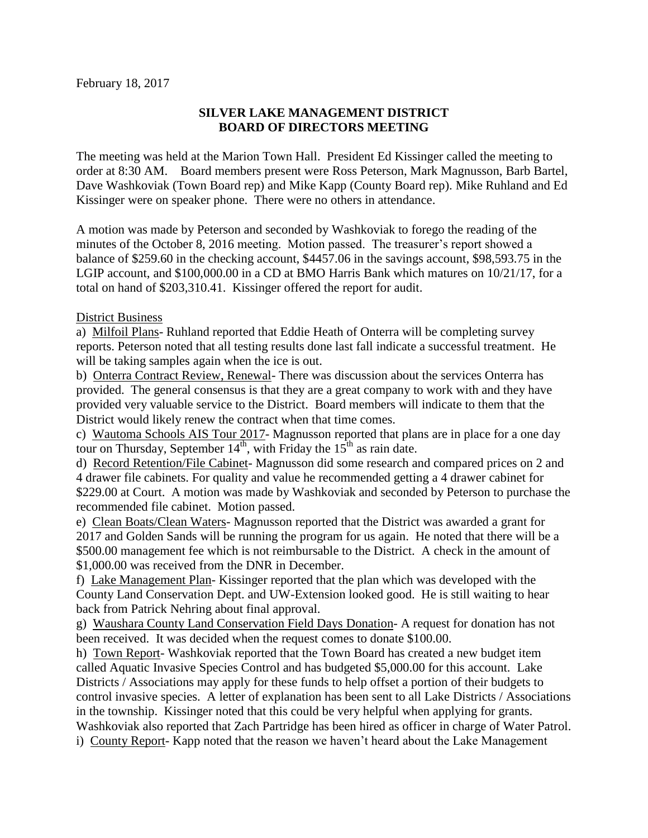## **SILVER LAKE MANAGEMENT DISTRICT BOARD OF DIRECTORS MEETING**

The meeting was held at the Marion Town Hall. President Ed Kissinger called the meeting to order at 8:30 AM. Board members present were Ross Peterson, Mark Magnusson, Barb Bartel, Dave Washkoviak (Town Board rep) and Mike Kapp (County Board rep). Mike Ruhland and Ed Kissinger were on speaker phone. There were no others in attendance.

A motion was made by Peterson and seconded by Washkoviak to forego the reading of the minutes of the October 8, 2016 meeting. Motion passed. The treasurer's report showed a balance of \$259.60 in the checking account, \$4457.06 in the savings account, \$98,593.75 in the LGIP account, and \$100,000.00 in a CD at BMO Harris Bank which matures on 10/21/17, for a total on hand of \$203,310.41. Kissinger offered the report for audit.

## District Business

a) Milfoil Plans- Ruhland reported that Eddie Heath of Onterra will be completing survey reports. Peterson noted that all testing results done last fall indicate a successful treatment. He will be taking samples again when the ice is out.

b) Onterra Contract Review, Renewal- There was discussion about the services Onterra has provided. The general consensus is that they are a great company to work with and they have provided very valuable service to the District. Board members will indicate to them that the District would likely renew the contract when that time comes.

c) Wautoma Schools AIS Tour 2017- Magnusson reported that plans are in place for a one day tour on Thursday, September  $14<sup>th</sup>$ , with Friday the  $15<sup>th</sup>$  as rain date.

d) Record Retention/File Cabinet- Magnusson did some research and compared prices on 2 and 4 drawer file cabinets. For quality and value he recommended getting a 4 drawer cabinet for \$229.00 at Court. A motion was made by Washkoviak and seconded by Peterson to purchase the recommended file cabinet. Motion passed.

e) Clean Boats/Clean Waters- Magnusson reported that the District was awarded a grant for 2017 and Golden Sands will be running the program for us again. He noted that there will be a \$500.00 management fee which is not reimbursable to the District. A check in the amount of \$1,000.00 was received from the DNR in December.

f) Lake Management Plan- Kissinger reported that the plan which was developed with the County Land Conservation Dept. and UW-Extension looked good. He is still waiting to hear back from Patrick Nehring about final approval.

g) Waushara County Land Conservation Field Days Donation- A request for donation has not been received. It was decided when the request comes to donate \$100.00.

h) Town Report- Washkoviak reported that the Town Board has created a new budget item called Aquatic Invasive Species Control and has budgeted \$5,000.00 for this account. Lake Districts / Associations may apply for these funds to help offset a portion of their budgets to control invasive species. A letter of explanation has been sent to all Lake Districts / Associations in the township. Kissinger noted that this could be very helpful when applying for grants. Washkoviak also reported that Zach Partridge has been hired as officer in charge of Water Patrol.

i) County Report- Kapp noted that the reason we haven't heard about the Lake Management